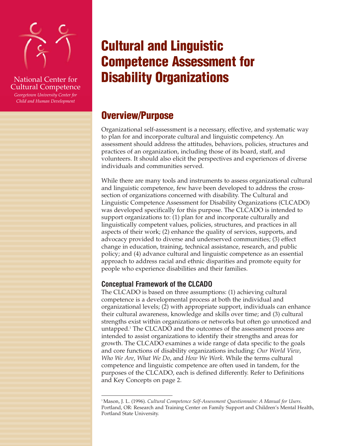

National Center for Cultural Competence

*Georgetown University Center for Child and Human Development*

# **Cultural and Linguistic Competence Assessment for Disability Organizations**

## **Overview/Purpose**

Organizational self-assessment is a necessary, effective, and systematic way to plan for and incorporate cultural and linguistic competency. An assessment should address the attitudes, behaviors, policies, structures and practices of an organization, including those of its board, staff, and volunteers. It should also elicit the perspectives and experiences of diverse individuals and communities served.

While there are many tools and instruments to assess organizational cultural and linguistic competence, few have been developed to address the crosssection of organizations concerned with disability. The Cultural and Linguistic Competence Assessment for Disability Organizations (CLCADO) was developed specifically for this purpose. The CLCADO is intended to support organizations to: (1) plan for and incorporate culturally and linguistically competent values, policies, structures, and practices in all aspects of their work; (2) enhance the quality of services, supports, and advocacy provided to diverse and underserved communities; (3) effect change in education, training, technical assistance, research, and public policy; and (4) advance cultural and linguistic competence as an essential approach to address racial and ethnic disparities and promote equity for people who experience disabilities and their families.

## **Conceptual Framework of the CLCADO**

The CLCADO is based on three assumptions: (1) achieving cultural competence is a developmental process at both the individual and organizational levels; (2) with appropriate support, individuals can enhance their cultural awareness, knowledge and skills over time; and (3) cultural strengths exist within organizations or networks but often go unnoticed and untapped.1 The CLCADO and the outcomes of the assessment process are intended to assist organizations to identify their strengths and areas for growth. The CLCADO examines a wide range of data specific to the goals and core functions of disability organizations including: *Our World View*, *Who We Are*, *What We Do*, and *How We Work*. While the terms cultural competence and linguistic competence are often used in tandem, for the purposes of the CLCADO, each is defined differently. Refer to Definitions and Key Concepts on page 2.

<sup>1</sup> Mason, J. L. (1996). *Cultural Competence Self-Assessment Questionnaire: A Manual for Users*. Portland, OR: Research and Training Center on Family Support and Children's Mental Health, Portland State University.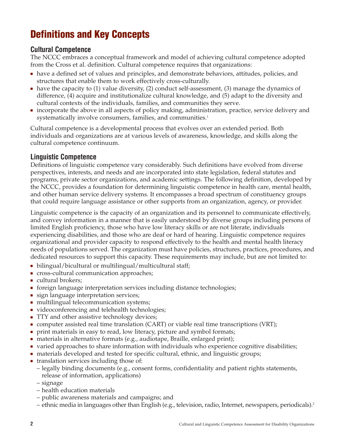## **Definitions and Key Concepts**

## **Cultural Competence**

The NCCC embraces a conceptual framework and model of achieving cultural competence adopted from the Cross et al. definition. Cultural competence requires that organizations:

- have a defined set of values and principles, and demonstrate behaviors, attitudes, policies, and structures that enable them to work effectively cross-culturally.
- have the capacity to (1) value diversity, (2) conduct self-assessment, (3) manage the dynamics of difference, (4) acquire and institutionalize cultural knowledge, and (5) adapt to the diversity and cultural contexts of the individuals, families, and communities they serve.
- incorporate the above in all aspects of policy making, administration, practice, service delivery and systematically involve consumers, families, and communities.<sup>1</sup>

Cultural competence is a developmental process that evolves over an extended period. Both individuals and organizations are at various levels of awareness, knowledge, and skills along the cultural competence continuum.

## **Linguistic Competence**

Definitions of linguistic competence vary considerably. Such definitions have evolved from diverse perspectives, interests, and needs and are incorporated into state legislation, federal statutes and programs, private sector organizations, and academic settings. The following definition, developed by the NCCC, provides a foundation for determining linguistic competence in health care, mental health, and other human service delivery systems. It encompasses a broad spectrum of constituency groups that could require language assistance or other supports from an organization, agency, or provider.

Linguistic competence is the capacity of an organization and its personnel to communicate effectively, and convey information in a manner that is easily understood by diverse groups including persons of limited English proficiency, those who have low literacy skills or are not literate, individuals experiencing disabilities, and those who are deaf or hard of hearing. Linguistic competence requires organizational and provider capacity to respond effectively to the health and mental health literacy needs of populations served. The organization must have policies, structures, practices, procedures, and dedicated resources to support this capacity. These requirements may include, but are not limited to:

- bilingual/bicultural or multilingual/multicultural staff;
- cross-cultural communication approaches;
- cultural brokers;
- foreign language interpretation services including distance technologies;
- sign language interpretation services;
- multilingual telecommunication systems;
- videoconferencing and telehealth technologies;
- TTY and other assistive technology devices;
- computer assisted real time translation (CART) or viable real time transcriptions (VRT);
- print materials in easy to read, low literacy, picture and symbol formats;
- materials in alternative formats (e.g., audiotape, Braille, enlarged print);
- varied approaches to share information with individuals who experience cognitive disabilities;
- materials developed and tested for specific cultural, ethnic, and linguistic groups;
- translation services including those of:
	- legally binding documents (e.g., consent forms, confidentiality and patient rights statements, release of information, applications)
	- signage
	- health education materials
	- public awareness materials and campaigns; and
	- ethnic media in languages other than English (e.g., television, radio, Internet, newspapers, periodicals).2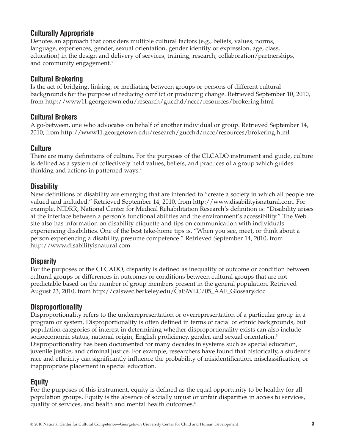## **Culturally Appropriate**

Denotes an approach that considers multiple cultural factors (e.g., beliefs, values, norms, language, experiences, gender, sexual orientation, gender identity or expression, age, class, education) in the design and delivery of services, training, research, collaboration/partnerships, and community engagement.<sup>3</sup>

## **Cultural Brokering**

Is the act of bridging, linking, or mediating between groups or persons of different cultural backgrounds for the purpose of reducing conflict or producing change. Retrieved September 10, 2010, from http://www11.georgetown.edu/research/gucchd/nccc/resources/brokering.html

## **Cultural Brokers**

A go-between, one who advocates on behalf of another individual or group. Retrieved September 14, 2010, from http://www11.georgetown.edu/research/gucchd/nccc/resources/brokering.html

## **Culture**

There are many definitions of culture. For the purposes of the CLCADO instrument and guide, culture is defined as a system of collectively held values, beliefs, and practices of a group which guides thinking and actions in patterned ways.<sup>4</sup>

## **Disability**

New definitions of disability are emerging that are intended to "create a society in which all people are valued and included." Retrieved September 14, 2010, from http://www.disabilityisnatural.com. For example, NIDRR, National Center for Medical Rehabilitation Research's definition is: "Disability arises at the interface between a person's functional abilities and the environment's accessibility." The Web site also has information on disability etiquette and tips on communication with individuals experiencing disabilities. One of the best take-home tips is, "When you see, meet, or think about a person experiencing a disability, presume competence." Retrieved September 14, 2010, from http://www.disabilityisnatural.com

## **Disparity**

For the purposes of the CLCADO, disparity is defined as inequality of outcome or condition between cultural groups or differences in outcomes or conditions between cultural groups that are not predictable based on the number of group members present in the general population. Retrieved August 23, 2010, from http://calswec.berkeley.edu/CalSWEC/05\_AAF\_Glossary.doc

## **Disproportionality**

Disproportionality refers to the underrepresentation or overrepresentation of a particular group in a program or system. Disproportionality is often defined in terms of racial or ethnic backgrounds, but population categories of interest in determining whether disproportionality exists can also include socioeconomic status, national origin, English proficiency, gender, and sexual orientation.<sup>5</sup> Disproportionality has been documented for many decades in systems such as special education, juvenile justice, and criminal justice. For example, researchers have found that historically, a student's race and ethnicity can significantly influence the probability of misidentification, misclassification, or inappropriate placement in special education.

## **Equity**

For the purposes of this instrument, equity is defined as the equal opportunity to be healthy for all population groups. Equity is the absence of socially unjust or unfair disparities in access to services, quality of services, and health and mental health outcomes.<sup>6</sup>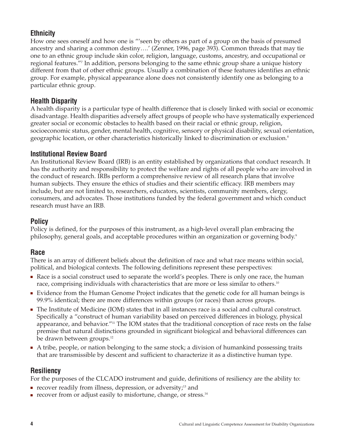## **Ethnicity**

How one sees oneself and how one is "'seen by others as part of a group on the basis of presumed ancestry and sharing a common destiny….' (Zenner, 1996, page 393). Common threads that may tie one to an ethnic group include skin color, religion, language, customs, ancestry, and occupational or regional features."7 In addition, persons belonging to the same ethnic group share a unique history different from that of other ethnic groups. Usually a combination of these features identifies an ethnic group. For example, physical appearance alone does not consistently identify one as belonging to a particular ethnic group.

## **Health Disparity**

A health disparity is a particular type of health difference that is closely linked with social or economic disadvantage. Health disparities adversely affect groups of people who have systematically experienced greater social or economic obstacles to health based on their racial or ethnic group, religion, socioeconomic status, gender, mental health, cognitive, sensory or physical disability, sexual orientation, geographic location, or other characteristics historically linked to discrimination or exclusion.8

## **Institutional Review Board**

An Institutional Review Board (IRB) is an entity established by organizations that conduct research. It has the authority and responsibility to protect the welfare and rights of all people who are involved in the conduct of research. IRBs perform a comprehensive review of all research plans that involve human subjects. They ensure the ethics of studies and their scientific efficacy. IRB members may include, but are not limited to, researchers, educators, scientists, community members, clergy, consumers, and advocates. Those institutions funded by the federal government and which conduct research must have an IRB.

## **Policy**

Policy is defined, for the purposes of this instrument, as a high-level overall plan embracing the philosophy, general goals, and acceptable procedures within an organization or governing body.9

## **Race**

There is an array of different beliefs about the definition of race and what race means within social, political, and biological contexts. The following definitions represent these perspectives:

- Race is a social construct used to separate the world's peoples. There is only one race, the human race, comprising individuals with characteristics that are more or less similar to others.<sup>10</sup>
- Evidence from the Human Genome Project indicates that the genetic code for all human beings is 99.9% identical; there are more differences within groups (or races) than across groups.
- The Institute of Medicine (IOM) states that in all instances race is a social and cultural construct. Specifically a "construct of human variability based on perceived differences in biology, physical appearance, and behavior."<sup>11</sup> The IOM states that the traditional conception of race rests on the false premise that natural distinctions grounded in significant biological and behavioral differences can be drawn between groups.<sup>12</sup>
- A tribe, people, or nation belonging to the same stock; a division of humankind possessing traits that are transmissible by descent and sufficient to characterize it as a distinctive human type.

## **Resiliency**

For the purposes of the CLCADO instrument and guide, definitions of resiliency are the ability to:

- recover readily from illness, depression, or adversity;<sup>13</sup> and
- recover from or adjust easily to misfortune, change, or stress.<sup>14</sup>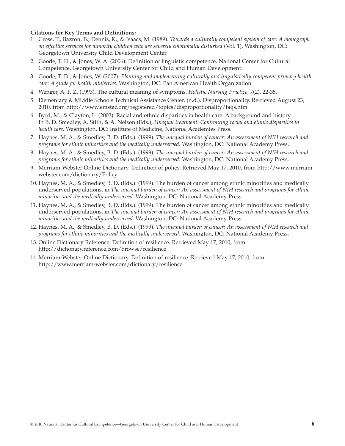#### **Citations for Key Terms and Definitions:**

- 1. Cross, T., Bazron, B., Dennis, K., & Isaacs, M. (1989). *Towards a culturally competent system of care: A monograph on effective services for minority children who are severely emotionally disturbed* (Vol. 1). Washington, DC: Georgetown University Child Development Center.
- 2. Goode, T. D., & Jones, W. A. (2006). Definition of linguistic competence. National Center for Cultural Competence, Georgetown University Center for Child and Human Development.
- 3. Goode, T. D., & Jones, W. (2007). *Planning and implementing culturally and linguistically competent primary health care: A guide for health ministries*. Washington, DC: Pan American Health Organization.
- 4. Wenger, A. F. Z. (1993). The cultural meaning of symptoms. *Holistic Nursing Practice, 7*(2), 22-35.
- 5. Elementary & Middle Schools Technical Assistance Center. (n.d.). Disproportionality. Retrieved August 23, 2010, from http://www.emstac.org/registered/topics/disproportionality/faqs.htm
- 6. Byrd, M., & Clayton, L. (2003). Racial and ethnic disparities in health care: A background and history. In B. D. Smedley, A. Stith, & A. Nelson (Eds.), *Unequal treatment: Confronting racial and ethnic disparities in health care*. Washington, DC: Institute of Medicine, National Academies Press.
- 7. Haynes, M. A., & Smedley, B. D. (Eds.). (1999). *The unequal burden of cancer: An assessment of NIH research and programs for ethnic minorities and the medically underserved*. Washington, DC: National Academy Press.
- 8. Haynes, M. A., & Smedley, B. D. (Eds.). (1999). *The unequal burden of cancer: An assessment of NIH research and programs for ethnic minorities and the medically underserved*. Washington, DC: National Academy Press.
- 9. Merriam-Webster Online Dictionary. Definition of policy. Retrieved May 17, 2010, from http://www.merriamwebster.com/dictionary/Policy
- 10. Haynes, M. A., & Smedley, B. D. (Eds.). (1999). The burden of cancer among ethnic minorities and medically underserved populations, in *The unequal burden of cancer: An assessment of NIH research and programs for ethnic minorities and the medically underserved*. Washington, DC: National Academy Press.
- 11. Haynes, M. A., & Smedley, B. D. (Eds.). (1999). The burden of cancer among ethnic minorities and medically underserved populations, in *The unequal burden of cancer: An assessment of NIH research and programs for ethnic minorities and the medically underserved*. Washington, DC: National Academy Press.
- 12. Haynes, M. A., & Smedley, B. D. (Eds.). (1999). *The unequal burden of cancer: An assessment of NIH research and programs for ethnic minorities and the medically underserved*. Washington, DC: National Academy Press.
- 13. Online Dictionary Reference. Definition of resilience. Retrieved May 17, 2010, from http://dictionary.reference.com/browse/resilience
- 14. Merriam-Webster Online Dictionary. Definition of resilience. Retrieved May 17, 2010, from http://www.merriam-webster.com/dictionary/resilience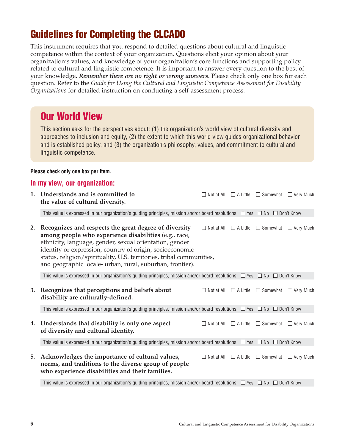## **Guidelines for Completing the CLCADO**

This instrument requires that you respond to detailed questions about cultural and linguistic competence within the context of your organization. Questions elicit your opinion about your organization's values, and knowledge of your organization's core functions and supporting policy related to cultural and linguistic competence. It is important to answer every question to the best of your knowledge. *Remember there are no right or wrong answers.* Please check only one box for each question. Refer to the *Guide for Using the Cultural and Linguistic Competence Assessment for Disability Organizations* for detailed instruction on conducting a self-assessment process.

## **Our World View**

This section asks for the perspectives about: (1) the organization's world view of cultural diversity and approaches to inclusion and equity, (2) the extent to which this world view guides organizational behavior and is established policy, and (3) the organization's philosophy, values, and commitment to cultural and linguistic competence.

## **Please check only one box per item.**

#### **In my view, our organization:**

| 1. | Understands and is committed to<br>the value of cultural diversity.                                                                                                                                                                                                                                                                                                        |                                   | $\Box$ Not at All $\Box$ A Little $\Box$ Somewhat $\Box$ Very Much |                  |
|----|----------------------------------------------------------------------------------------------------------------------------------------------------------------------------------------------------------------------------------------------------------------------------------------------------------------------------------------------------------------------------|-----------------------------------|--------------------------------------------------------------------|------------------|
|    | This value is expressed in our organization's guiding principles, mission and/or board resolutions. $\Box$ Yes $\Box$ No $\Box$ Don't Know                                                                                                                                                                                                                                 |                                   |                                                                    |                  |
| 2. | Recognizes and respects the great degree of diversity<br>among people who experience disabilities (e.g., race,<br>ethnicity, language, gender, sexual orientation, gender<br>identity or expression, country of origin, socioeconomic<br>status, religion/spirituality, U.S. territories, tribal communities,<br>and geographic locale- urban, rural, suburban, frontier). | $\Box$ Not at All $\Box$ A Little | $\Box$ Somewhat                                                    | $\Box$ Very Much |
|    | This value is expressed in our organization's guiding principles, mission and/or board resolutions. $\Box$ Yes $\Box$ No $\Box$ Don't Know                                                                                                                                                                                                                                 |                                   |                                                                    |                  |
| 3. | Recognizes that perceptions and beliefs about<br>disability are culturally-defined.                                                                                                                                                                                                                                                                                        | $\Box$ Not at All $\Box$ A Little | $\Box$ Somewhat $\Box$ Very Much                                   |                  |
|    | This value is expressed in our organization's guiding principles, mission and/or board resolutions. $\Box$ Yes $\Box$ No $\Box$ Don't Know                                                                                                                                                                                                                                 |                                   |                                                                    |                  |
| 4. | Understands that disability is only one aspect<br>of diversity and cultural identity.                                                                                                                                                                                                                                                                                      |                                   | $\Box$ Not at All $\Box$ A Little $\Box$ Somewhat $\Box$ Very Much |                  |
|    | This value is expressed in our organization's guiding principles, mission and/or board resolutions. $\Box$ Yes $\Box$ No $\Box$ Don't Know                                                                                                                                                                                                                                 |                                   |                                                                    |                  |
| 5. | Acknowledges the importance of cultural values,<br>norms, and traditions to the diverse group of people<br>who experience disabilities and their families.                                                                                                                                                                                                                 | $\Box$ Not at All $\Box$ A Little | $\Box$ Somewhat                                                    | $\Box$ Very Much |
|    | This value is expressed in our organization's guiding principles, mission and/or board resolutions. $\Box$ Yes $\Box$ No $\Box$ Don't Know                                                                                                                                                                                                                                 |                                   |                                                                    |                  |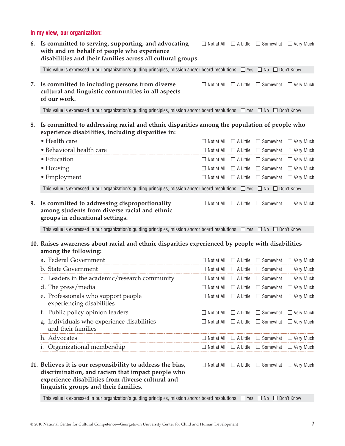### **In my view, our organization:**

| 6. | Is committed to serving, supporting, and advocating<br>with and on behalf of people who experience<br>disabilities and their families across all cultural groups.                                             |                                   | $\Box$ Not at All $\Box$ A Little $\Box$ Somewhat $\Box$ Very Much |  |
|----|---------------------------------------------------------------------------------------------------------------------------------------------------------------------------------------------------------------|-----------------------------------|--------------------------------------------------------------------|--|
|    | This value is expressed in our organization's guiding principles, mission and/or board resolutions. $\Box$ Yes $\Box$ No $\Box$ Don't Know                                                                    |                                   |                                                                    |  |
| 7. | Is committed to including persons from diverse<br>cultural and linguistic communities in all aspects<br>of our work.                                                                                          | $\Box$ Not at All $\Box$ A Little | $\Box$ Somewhat $\Box$ Very Much                                   |  |
|    | This value is expressed in our organization's guiding principles, mission and/or board resolutions. $\Box$ Yes $\Box$ No $\Box$ Don't Know                                                                    |                                   |                                                                    |  |
| 8. | Is committed to addressing racial and ethnic disparities among the population of people who<br>experience disabilities, including disparities in:                                                             |                                   |                                                                    |  |
|    | • Health care                                                                                                                                                                                                 |                                   | $\Box$ Not at All $\Box$ A Little $\Box$ Somewhat $\Box$ Very Much |  |
|    | · Behavioral health care                                                                                                                                                                                      |                                   | $\Box$ Not at All $\Box$ A Little $\Box$ Somewhat $\Box$ Very Much |  |
|    | • Education                                                                                                                                                                                                   |                                   | $\Box$ Not at All $\Box$ A Little $\Box$ Somewhat $\Box$ Very Much |  |
|    | • Housing                                                                                                                                                                                                     |                                   | $\Box$ Not at All $\Box$ A Little $\Box$ Somewhat $\Box$ Very Much |  |
|    | • Employment                                                                                                                                                                                                  |                                   | $\Box$ Not at All $\Box$ A Little $\Box$ Somewhat $\Box$ Very Much |  |
|    | This value is expressed in our organization's guiding principles, mission and/or board resolutions. $\Box$ Yes $\Box$ No $\Box$ Don't Know                                                                    |                                   |                                                                    |  |
| 9. | Is committed to addressing disproportionality<br>among students from diverse racial and ethnic<br>groups in educational settings.                                                                             | $\Box$ Not at All $\Box$ A Little | $\Box$ Somewhat $\Box$ Very Much                                   |  |
|    | This value is expressed in our organization's guiding principles, mission and/or board resolutions. $\Box$ Yes $\Box$ No $\Box$ Don't Know                                                                    |                                   |                                                                    |  |
|    | 10. Raises awareness about racial and ethnic disparities experienced by people with disabilities<br>among the following:                                                                                      |                                   |                                                                    |  |
|    | a. Federal Government                                                                                                                                                                                         |                                   | $\Box$ Not at All $\Box$ A Little $\Box$ Somewhat $\Box$ Very Much |  |
|    | b. State Government                                                                                                                                                                                           |                                   | $\Box$ Not at All $\Box$ A Little $\Box$ Somewhat $\Box$ Very Much |  |
|    | c. Leaders in the academic/research community                                                                                                                                                                 |                                   | $\Box$ Not at All $\Box$ A Little $\Box$ Somewhat $\Box$ Very Much |  |
|    | d. The press/media                                                                                                                                                                                            |                                   | $\Box$ Not at All $\Box$ A Little $\Box$ Somewhat $\Box$ Very Much |  |
|    | e. Professionals who support people<br>experiencing disabilities                                                                                                                                              | $\Box$ Not at All $\Box$ A Little | □ Somewhat □ Very Much                                             |  |
|    | f. Public policy opinion leaders                                                                                                                                                                              |                                   | $\Box$ Not at All $\Box$ A Little $\Box$ Somewhat $\Box$ Very Much |  |
|    | g. Individuals who experience disabilities<br>and their families                                                                                                                                              | $\Box$ Not at All $\Box$ A Little | $\Box$ Somewhat $\Box$ Very Much                                   |  |
|    | h. Advocates                                                                                                                                                                                                  |                                   | $\Box$ Not at All $\Box$ A Little $\Box$ Somewhat $\Box$ Very Much |  |
|    | i. Organizational membership                                                                                                                                                                                  | $\Box$ Not at All $\Box$ A Little | $\Box$ Somewhat $\Box$ Very Much                                   |  |
|    | 11. Believes it is our responsibility to address the bias,<br>discrimination, and racism that impact people who<br>experience disabilities from diverse cultural and<br>linguistic groups and their families. | $\Box$ Not at All $\Box$ A Little | $\Box$ Somewhat $\Box$ Very Much                                   |  |

This value is expressed in our organization's guiding principles, mission and/or board resolutions.  $\Box$  Yes  $\Box$  No  $\Box$  Don't Know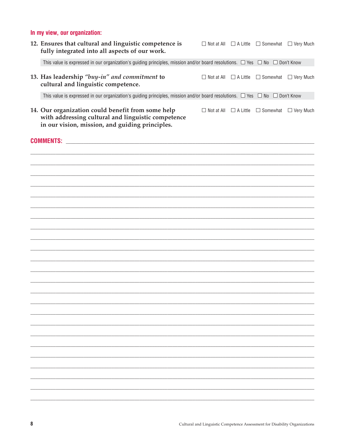## In my view, our organization:

| 12. Ensures that cultural and linguistic competence is<br>fully integrated into all aspects of our work.                                                   |  | $\Box$ Not at All $\Box$ A Little $\Box$ Somewhat $\Box$ Very Much |
|------------------------------------------------------------------------------------------------------------------------------------------------------------|--|--------------------------------------------------------------------|
| This value is expressed in our organization's guiding principles, mission and/or board resolutions. $\Box$ Yes $\Box$ No $\Box$ Don't Know                 |  |                                                                    |
| 13. Has leadership "buy-in" and commitment to<br>cultural and linguistic competence.                                                                       |  | $\Box$ Not at All $\Box$ A Little $\Box$ Somewhat $\Box$ Very Much |
| This value is expressed in our organization's guiding principles, mission and/or board resolutions. $\Box$ Yes $\Box$ No $\Box$ Don't Know                 |  |                                                                    |
| 14. Our organization could benefit from some help<br>with addressing cultural and linguistic competence<br>in our vision, mission, and guiding principles. |  | $\Box$ Not at All $\Box$ A Little $\Box$ Somewhat $\Box$ Very Much |
|                                                                                                                                                            |  |                                                                    |
|                                                                                                                                                            |  |                                                                    |
|                                                                                                                                                            |  |                                                                    |
|                                                                                                                                                            |  |                                                                    |
|                                                                                                                                                            |  |                                                                    |
|                                                                                                                                                            |  |                                                                    |
|                                                                                                                                                            |  |                                                                    |
|                                                                                                                                                            |  |                                                                    |
|                                                                                                                                                            |  |                                                                    |
|                                                                                                                                                            |  |                                                                    |
|                                                                                                                                                            |  |                                                                    |
|                                                                                                                                                            |  |                                                                    |
|                                                                                                                                                            |  |                                                                    |
|                                                                                                                                                            |  |                                                                    |
|                                                                                                                                                            |  |                                                                    |
|                                                                                                                                                            |  |                                                                    |
|                                                                                                                                                            |  |                                                                    |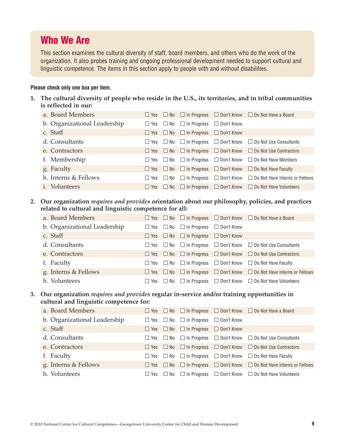## **Who We Are**

This section examines the cultural diversity of staff, board members, and others who do the work of the organization. It also probes training and ongoing professional development needed to support cultural and linguistic competence. The items in this section apply to people with and without disabilities.

#### **Please check only one box per item.**

**1. The cultural diversity of people who reside in the U.S., its territories, and in tribal communities is reflected in our:**

| a. Board Members             |                      |                                                           | $\Box$ Yes $\Box$ No $\Box$ In Progress $\Box$ Don't Know $\Box$ Do Not Have a Board    |
|------------------------------|----------------------|-----------------------------------------------------------|-----------------------------------------------------------------------------------------|
| b. Organizational Leadership |                      | $\Box$ Yes $\Box$ No $\Box$ In Progress $\Box$ Don't Know |                                                                                         |
| c. Staff                     |                      | $\Box$ Yes $\Box$ No $\Box$ In Progress $\Box$ Don't Know |                                                                                         |
| d. Consultants               | $\Box$ Yes $\Box$ No |                                                           | $\Box$ In Progress $\Box$ Don't Know $\Box$ Do Not Use Consultants                      |
| e. Contractors               |                      |                                                           | $\Box$ Yes $\Box$ No $\Box$ In Progress $\Box$ Don't Know $\Box$ Do Not Use Contractors |
| f. Membership                |                      |                                                           | $\Box$ Yes $\Box$ No $\Box$ In Progress $\Box$ Don't Know $\Box$ Do Not Have Members    |
| g. Faculty                   |                      |                                                           | $\Box$ Yes $\Box$ No $\Box$ In Progress $\Box$ Don't Know $\Box$ Do Not Have Faculty    |
| h. Interns & Fellows         | $\Box$ Yes $\Box$ No |                                                           | $\Box$ In Progress $\Box$ Don't Know $\Box$ Do Not Have Interns or Fellows              |
| <i>i.</i> Volunteers         | $\Box$ Yes $\Box$ No |                                                           | $\Box$ In Progress $\Box$ Don't Know $\Box$ Do Not Have Volunteers                      |

#### **2. Our organization** *requires and provides* **orientation about our philosophy, policies, and practices related to cultural and linguistic competence for all:**

| a. Board Members             |            |                                                           | $\Box$ Yes $\Box$ No $\Box$ In Progress $\Box$ Don't Know $\Box$ Do Not Have a Board            |
|------------------------------|------------|-----------------------------------------------------------|-------------------------------------------------------------------------------------------------|
| b. Organizational Leadership |            | $\Box$ Yes $\Box$ No $\Box$ In Progress $\Box$ Don't Know |                                                                                                 |
| c. Staff                     |            | $\Box$ Yes $\Box$ No $\Box$ In Progress $\Box$ Don't Know |                                                                                                 |
| d. Consultants               |            |                                                           | $\Box$ Yes $\Box$ No $\Box$ In Progress $\Box$ Don't Know $\Box$ Do Not Use Consultants         |
| e. Contractors               | $\Box$ Yes |                                                           | $\Box$ No $\Box$ In Progress $\Box$ Don't Know $\Box$ Do Not Use Contractors                    |
| f. Faculty                   |            |                                                           | $\Box$ Yes $\Box$ No $\Box$ In Progress $\Box$ Don't Know $\Box$ Do Not Have Faculty            |
| g. Interns & Fellows         |            |                                                           | $\Box$ Yes $\Box$ No $\Box$ In Progress $\Box$ Don't Know $\Box$ Do Not Have Interns or Fellows |
| h. Volunteers                | $\Box$ Yes |                                                           | $\Box$ No $\Box$ In Progress $\Box$ Don't Know $\Box$ Do Not Have Volunteers                    |

#### **3. Our organization** *requires and provides* **regular in-service and/or training opportunities in cultural and linguistic competence for:**

| a. Board Members             |              |                                                           | $\Box$ Yes $\Box$ No $\Box$ In Progress $\Box$ Don't Know $\Box$ Do Not Have a Board            |
|------------------------------|--------------|-----------------------------------------------------------|-------------------------------------------------------------------------------------------------|
| b. Organizational Leadership |              | $\Box$ Yes $\Box$ No $\Box$ In Progress $\Box$ Don't Know |                                                                                                 |
| c. Staff                     |              | $\Box$ Yes $\Box$ No $\Box$ In Progress $\Box$ Don't Know |                                                                                                 |
| d. Consultants               |              |                                                           | $\Box$ Yes $\Box$ No $\Box$ In Progress $\Box$ Don't Know $\Box$ Do Not Use Consultants         |
| e. Contractors               |              |                                                           | $\Box$ Yes $\Box$ No $\Box$ In Progress $\Box$ Don't Know $\Box$ Do Not Use Contractors         |
| f. Faculty                   |              |                                                           | $\Box$ Yes $\Box$ No $\Box$ In Progress $\Box$ Don't Know $\Box$ Do Not Have Faculty            |
| g. Interns & Fellows         |              |                                                           | $\Box$ Yes $\Box$ No $\Box$ In Progress $\Box$ Don't Know $\Box$ Do Not Have Interns or Fellows |
| h. Volunteers                | $\sqcup$ Yes |                                                           | $\Box$ No $\Box$ In Progress $\Box$ Don't Know $\Box$ Do Not Have Volunteers                    |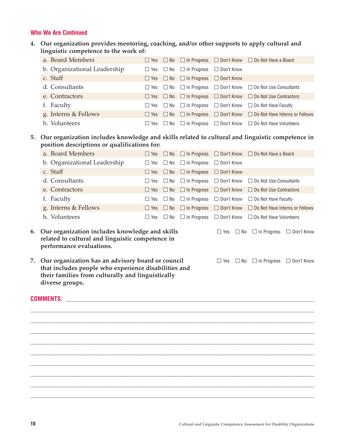#### **Who We Are Continued**

| 4. Our organization provides mentoring, coaching, and/or other supports to apply cultural and |
|-----------------------------------------------------------------------------------------------|
| linguistic competence to the work of:                                                         |

| a. Board Members                                                                                                 |  |                      |                                                           |  | $\Box$ Yes $\Box$ No $\Box$ In Progress $\Box$ Don't Know $\Box$ Do Not Have a Board    |  |  |  |  |  |
|------------------------------------------------------------------------------------------------------------------|--|----------------------|-----------------------------------------------------------|--|-----------------------------------------------------------------------------------------|--|--|--|--|--|
| b. Organizational Leadership                                                                                     |  |                      | $\Box$ Yes $\Box$ No $\Box$ In Progress $\Box$ Don't Know |  |                                                                                         |  |  |  |  |  |
| c. Staff                                                                                                         |  |                      | $\Box$ Yes $\Box$ No $\Box$ In Progress $\Box$ Don't Know |  |                                                                                         |  |  |  |  |  |
| d. Consultants                                                                                                   |  |                      |                                                           |  | $\Box$ Yes $\Box$ No $\Box$ In Progress $\Box$ Don't Know $\Box$ Do Not Use Consultants |  |  |  |  |  |
| e. Contractors                                                                                                   |  |                      |                                                           |  | $\Box$ Yes $\Box$ No $\Box$ In Progress $\Box$ Don't Know $\Box$ Do Not Use Contractors |  |  |  |  |  |
| f. Faculty                                                                                                       |  |                      |                                                           |  | $\Box$ Yes $\Box$ No $\Box$ In Progress $\Box$ Don't Know $\Box$ Do Not Have Faculty    |  |  |  |  |  |
| g. Interns & Fellows                                                                                             |  | $\Box$ Yes $\Box$ No |                                                           |  | $\Box$ In Progress $\Box$ Don't Know $\Box$ Do Not Have Interns or Fellows              |  |  |  |  |  |
| h. Volunteers                                                                                                    |  |                      |                                                           |  | $\Box$ Yes $\Box$ No $\Box$ In Progress $\Box$ Don't Know $\Box$ Do Not Have Volunteers |  |  |  |  |  |
| . A constant of the following formula decreed at 21.911 and and an included and different attack and an analysis |  |                      |                                                           |  |                                                                                         |  |  |  |  |  |

#### **5. Our organization includes knowledge and skills related to cultural and linguistic competence in position descriptions or qualifications for:**

| a. Board Members             |              |                                                           | $\Box$ Yes $\Box$ No $\Box$ In Progress $\Box$ Don't Know $\Box$ Do Not Have a Board            |
|------------------------------|--------------|-----------------------------------------------------------|-------------------------------------------------------------------------------------------------|
| b. Organizational Leadership |              | $\Box$ Yes $\Box$ No $\Box$ In Progress $\Box$ Don't Know |                                                                                                 |
| c. Staff                     |              | $\Box$ Yes $\Box$ No $\Box$ In Progress $\Box$ Don't Know |                                                                                                 |
| d. Consultants               |              |                                                           | $\Box$ Yes $\Box$ No $\Box$ In Progress $\Box$ Don't Know $\Box$ Do Not Use Consultants         |
| e. Contractors               |              |                                                           | $\Box$ Yes $\Box$ No $\Box$ In Progress $\Box$ Don't Know $\Box$ Do Not Use Contractors         |
| f. Faculty                   |              |                                                           | $\Box$ Yes $\Box$ No $\Box$ In Progress $\Box$ Don't Know $\Box$ Do Not Have Faculty            |
| g. Interns & Fellows         |              |                                                           | $\Box$ Yes $\Box$ No $\Box$ In Progress $\Box$ Don't Know $\Box$ Do Not Have Interns or Fellows |
| h. Volunteers                | $\sqcup$ Yes |                                                           | $\Box$ No $\Box$ In Progress $\Box$ Don't Know $\Box$ Do Not Have Volunteers                    |

 $\Box$  $\Box$ \_\_\_\_\_\_\_\_\_\_\_\_\_\_\_\_\_\_\_\_\_\_\_\_\_\_\_\_\_\_\_\_\_\_\_\_\_\_\_\_\_\_\_\_\_\_\_\_\_\_\_\_\_\_\_\_\_\_\_\_\_\_\_\_\_\_\_\_\_\_\_\_\_\_\_\_\_\_\_\_\_\_\_\_\_\_\_\_\_\_\_\_\_\_\_\_\_\_\_\_\_\_\_\_\_\_\_\_\_\_\_\_  $\Box$  $\Box$  $\Box$  $\Box$  $\Box$  $\Box$ 

#### **6. Our organization includes knowledge and skills**  $\Box$  Yes  $\Box$  No  $\Box$  In Progress  $\Box$  Don't Know **related to cultural and linguistic competence in performance evaluations.**

**7. Our organization has an advisory board or council**  $\Box$  Yes  $\Box$  No  $\Box$  In Progress  $\Box$  Don't Know **that includes people who experience disabilities and their families from culturally and linguistically diverse groups.**

#### **COMMENTS:** \_\_\_\_\_\_\_\_\_\_\_\_\_\_\_\_\_\_\_\_\_\_\_\_\_\_\_\_\_\_\_\_\_\_\_\_\_\_\_\_\_\_\_\_\_\_\_\_\_\_\_\_\_\_\_\_\_\_\_\_\_\_\_\_\_\_\_\_\_\_\_\_\_\_\_\_\_\_\_\_\_\_\_\_\_\_\_\_\_\_\_\_\_\_\_\_\_\_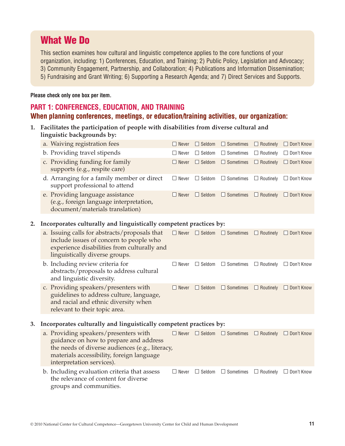## **What We Do**

This section examines how cultural and linguistic competence applies to the core functions of your organization, including: 1) Conferences, Education, and Training; 2) Public Policy, Legislation and Advocacy; 3) Community Engagement, Partnership, and Collaboration; 4) Publications and Information Dissemination; 5) Fundraising and Grant Writing; 6) Supporting a Research Agenda; and 7) Direct Services and Supports.

#### **Please check only one box per item.**

## **PART 1: CONFERENCES, EDUCATION, AND TRAINING When planning conferences, meetings, or education/training activities, our organization:**

**1. Facilitates the participation of people with disabilities from diverse cultural and linguistic backgrounds by:**

| a. Waiving registration fees                                                                                   | $\Box$ Never |               | $\Box$ Seldom $\Box$ Sometimes $\Box$ Routinely $\Box$ Don't Know |                  |              |
|----------------------------------------------------------------------------------------------------------------|--------------|---------------|-------------------------------------------------------------------|------------------|--------------|
| b. Providing travel stipends                                                                                   | $\Box$ Never | $\Box$ Seldom | $\Box$ Sometimes                                                  | $\Box$ Routinely | □ Don't Know |
| c. Providing funding for family<br>supports (e.g., respite care)                                               | $\Box$ Never |               | $\Box$ Seldom $\Box$ Sometimes $\Box$ Routinely                   |                  | □ Don't Know |
| d. Arranging for a family member or direct<br>support professional to attend                                   | $\Box$ Never |               | $\Box$ Seldom $\Box$ Sometimes                                    | $\Box$ Routinely | □ Don't Know |
| e. Providing language assistance<br>(e.g., foreign language interpretation,<br>document/materials translation) | $\Box$ Never |               | $\Box$ Seldom $\Box$ Sometimes $\Box$ Routinely $\Box$ Don't Know |                  |              |

#### **2. Incorporates culturally and linguistically competent practices by:**

| a. Issuing calls for abstracts/proposals that<br>include issues of concern to people who<br>experience disabilities from culturally and<br>linguistically diverse groups. | $\Box$ Never |               | $\Box$ Seldom $\Box$ Sometimes | $\Box$ Routinely | $\Box$ Don't Know |
|---------------------------------------------------------------------------------------------------------------------------------------------------------------------------|--------------|---------------|--------------------------------|------------------|-------------------|
| b. Including review criteria for<br>abstracts/proposals to address cultural<br>and linguistic diversity.                                                                  | $\Box$ Never |               | $\Box$ Seldom $\Box$ Sometimes | $\Box$ Routinely | $\Box$ Don't Know |
| c. Providing speakers/presenters with<br>guidelines to address culture, language,<br>and racial and ethnic diversity when<br>relevant to their topic area.                | $\Box$ Never | $\Box$ Seldom | $\Box$ Sometimes               | $\Box$ Routinely | $\Box$ Don't Know |

#### **3. Incorporates culturally and linguistically competent practices by:**

|                                                 | a. Providing speakers/presenters with                                                                           |  |  | $\Box$ Never $\Box$ Seldom $\Box$ Sometimes $\Box$ Routinely $\Box$ Don't Know |  |  |
|-------------------------------------------------|-----------------------------------------------------------------------------------------------------------------|--|--|--------------------------------------------------------------------------------|--|--|
|                                                 | guidance on how to prepare and address                                                                          |  |  |                                                                                |  |  |
| the needs of diverse audiences (e.g., literacy, |                                                                                                                 |  |  |                                                                                |  |  |
|                                                 | materials accessibility, foreign language                                                                       |  |  |                                                                                |  |  |
|                                                 | interpretation services).                                                                                       |  |  |                                                                                |  |  |
|                                                 | b. Including evaluation criteria that assess<br>the relevance of content for diverse<br>groups and communities. |  |  | $\Box$ Never $\Box$ Seldom $\Box$ Sometimes $\Box$ Routinely $\Box$ Don't Know |  |  |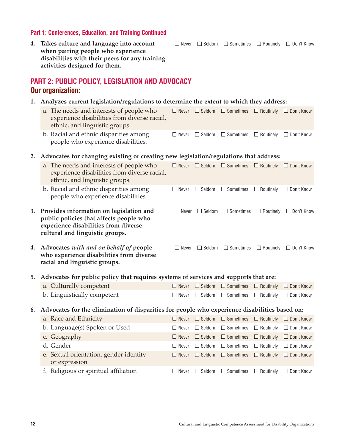#### **Part 1: Conferences, Education, and Training Continued**

**4. Takes culture and language into account**  $\Box$  Never  $\Box$  Seldom  $\Box$  Sometimes  $\Box$  Routinely  $\Box$  Don't Know **when pairing people who experience disabilities with their peers for any training activities designed for them.**

## **PART 2: PUBLIC POLICY, LEGISLATION AND ADVOCACY Our organization:**

- **1. Analyzes current legislation/regulations to determine the extent to which they address:**
	- a. The needs and interests of people who  $\Box$  Never  $\Box$  Seldom  $\Box$  Sometimes  $\Box$  Routinely  $\Box$  Don't Know experience disabilities from diverse racial, ethnic, and linguistic groups.
	- b. Racial and ethnic disparities among  $\square$  Never  $\square$  Seldom  $\square$  Sometimes  $\square$  Routinely  $\square$  Don't Know people who experience disabilities.

#### **2. Advocates for changing existing or creating new legislation/regulations that address:**

|    | a. The needs and interests of people who<br>experience disabilities from diverse racial,<br>ethnic, and linguistic groups.                                    | Never        | $\Box$ Seldom | $\Box$ Sometimes | $\Box$ Routinely | $\Box$ Don't Know |  |  |  |
|----|---------------------------------------------------------------------------------------------------------------------------------------------------------------|--------------|---------------|------------------|------------------|-------------------|--|--|--|
|    | b. Racial and ethnic disparities among<br>people who experience disabilities.                                                                                 | П<br>Never   | $\Box$ Seldom | $\Box$ Sometimes | $\Box$ Routinely | $\Box$ Don't Know |  |  |  |
| 3. | Provides information on legislation and<br>public policies that affects people who<br>experience disabilities from diverse<br>cultural and linguistic groups. | $\Box$ Never | $\Box$ Seldom | $\Box$ Sometimes | $\Box$ Routinely | $\Box$ Don't Know |  |  |  |
| 4. | Advocates with and on behalf of people<br>who experience disabilities from diverse<br>racial and linguistic groups.                                           | $\Box$ Never | $\Box$ Seldom | $\Box$ Sometimes | $\Box$ Routinely | $\Box$ Don't Know |  |  |  |
| 5. | Advocates for public policy that requires systems of services and supports that are:                                                                          |              |               |                  |                  |                   |  |  |  |
|    | a. Culturally competent                                                                                                                                       | $\Box$ Never | $\Box$ Seldom | $\Box$ Sometimes | $\Box$ Routinely | □ Don't Know      |  |  |  |
|    | b. Linguistically competent                                                                                                                                   | Never        | $\Box$ Seldom | $\Box$ Sometimes | $\Box$ Routinely | $\Box$ Don't Know |  |  |  |
| 6. | Advocates for the elimination of disparities for people who experience disabilities based on:                                                                 |              |               |                  |                  |                   |  |  |  |
|    | a. Race and Ethnicity                                                                                                                                         | $\Box$ Never | $\Box$ Seldom | $\Box$ Sometimes | $\Box$ Routinely | $\Box$ Don't Know |  |  |  |
|    | b. Language(s) Spoken or Used                                                                                                                                 | Never        | $\Box$ Seldom | $\Box$ Sometimes | $\Box$ Routinely | $\Box$ Don't Know |  |  |  |
|    | c. Geography                                                                                                                                                  | $\Box$ Never | $\Box$ Seldom | $\Box$ Sometimes | $\Box$ Routinely | $\Box$ Don't Know |  |  |  |
|    | d. Gender                                                                                                                                                     | Never        | $\Box$ Seldom | $\Box$ Sometimes | $\Box$ Routinely | $\Box$ Don't Know |  |  |  |
|    | e. Sexual orientation, gender identity<br>or expression                                                                                                       | Never        | $\Box$ Seldom | $\Box$ Sometimes | $\Box$ Routinely | $\Box$ Don't Know |  |  |  |

f. Religious or spiritual affiliation  $\square$  Never  $\square$  Seldom  $\square$  Sometimes  $\square$  Routinely  $\square$  Don't Know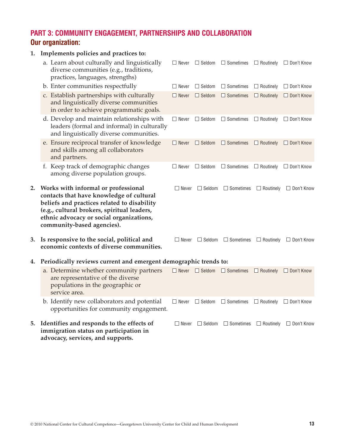## **PART 3: COMMUNITY ENGAGEMENT, PARTNERSHIPS AND COLLABORATION Our organization:**

| 1. | Implements policies and practices to:                                                                                                                                                                                                                   |              |                            |                                |                  |                                    |
|----|---------------------------------------------------------------------------------------------------------------------------------------------------------------------------------------------------------------------------------------------------------|--------------|----------------------------|--------------------------------|------------------|------------------------------------|
|    | a. Learn about culturally and linguistically<br>diverse communities (e.g., traditions,<br>practices, languages, strengths)                                                                                                                              | $\Box$ Never | $\Box$ Seldom              | $\Box$ Sometimes               |                  | $\Box$ Routinely $\Box$ Don't Know |
|    | b. Enter communities respectfully                                                                                                                                                                                                                       | $\Box$ Never | $\Box$ Seldom              | $\Box$ Sometimes               |                  | $\Box$ Routinely $\Box$ Don't Know |
|    | c. Establish partnerships with culturally<br>and linguistically diverse communities<br>in order to achieve programmatic goals.                                                                                                                          | $\Box$ Never | $\Box$ Seldom              | $\Box$ Sometimes               | $\Box$ Routinely | $\Box$ Don't Know                  |
|    | d. Develop and maintain relationships with<br>leaders (formal and informal) in culturally<br>and linguistically diverse communities.                                                                                                                    | $\Box$ Never | $\Box$ Seldom              | $\Box$ Sometimes               | $\Box$ Routinely | □ Don't Know                       |
|    | e. Ensure reciprocal transfer of knowledge<br>and skills among all collaborators<br>and partners.                                                                                                                                                       | $\Box$ Never | $\Box$ Seldom              | $\Box$ Sometimes               | $\Box$ Routinely | $\Box$ Don't Know                  |
|    | f. Keep track of demographic changes<br>among diverse population groups.                                                                                                                                                                                | $\Box$ Never | $\Box$ Seldom              | $\Box$ Sometimes               | $\Box$ Routinely | $\Box$ Don't Know                  |
| 2. | Works with informal or professional<br>contacts that have knowledge of cultural<br>beliefs and practices related to disability<br>(e.g., cultural brokers, spiritual leaders,<br>ethnic advocacy or social organizations,<br>community-based agencies). | $\Box$ Never | $\Box$ Seldom              | $\Box$ Sometimes               | $\Box$ Routinely | $\Box$ Don't Know                  |
| 3. | Is responsive to the social, political and<br>economic contexts of diverse communities.                                                                                                                                                                 | $\Box$ Never |                            | $\Box$ Seldom $\Box$ Sometimes | $\Box$ Routinely | $\Box$ Don't Know                  |
| 4. | Periodically reviews current and emergent demographic trends to:                                                                                                                                                                                        |              |                            |                                |                  |                                    |
|    | a. Determine whether community partners<br>are representative of the diverse<br>populations in the geographic or<br>service area.                                                                                                                       |              | $\Box$ Never $\Box$ Seldom | $\Box$ Sometimes               | $\Box$ Routinely | $\Box$ Don't Know                  |
|    | b. Identify new collaborators and potential<br>opportunities for community engagement.                                                                                                                                                                  | $\Box$ Never | $\Box$ Seldom              | $\Box$ Sometimes               | $\Box$ Routinely | $\Box$ Don't Know                  |
|    | 5. Identifies and responds to the effects of<br>immigration status on participation in<br>advocacy, services, and supports.                                                                                                                             | $\Box$ Never | $\Box$ Seldom              | $\Box$ Sometimes               | $\Box$ Routinely | $\Box$ Don't Know                  |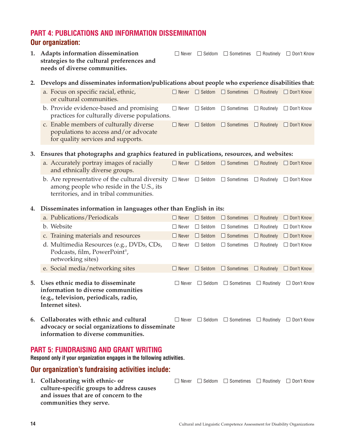## **PART 4: PUBLICATIONS AND INFORMATION DISSEMINATION Our organization:**

**strategies to the cultural preferences and needs of diverse communities.**

**1. Adapts information dissemination**  $\square$  Never  $\square$  Seldom  $\square$  Sometimes  $\square$  Routinely  $\square$  Don't Know

#### **2. Develops and disseminates information/publications about people who experience disabilities that:**

- a. Focus on specific racial, ethnic,  $\square$  Never  $\square$  Seldom  $\square$  Sometimes  $\square$  Routinely  $\square$  Don't Know or cultural communities.
- b. Provide evidence-based and promising  $\square$  Never  $\square$  Seldom  $\square$  Sometimes  $\square$  Routinely  $\square$  Don't Know practices for culturally diverse populations.
- c. Enable members of culturally diverse  $\square$  Never  $\square$  Seldom  $\square$  Sometimes  $\square$  Routinely  $\square$  Don't Know populations to access and/or advocate for quality services and supports.

#### **3. Ensures that photographs and graphics featured in publications, resources, and websites:**

- a. Accurately portray images of racially  $\square$  Never  $\square$  Seldom  $\square$  Sometimes  $\square$  Routinely  $\square$  Don't Know and ethnically diverse groups. b. Are representative of the cultural diversity  $\Box$  Never  $\Box$  Seldom  $\Box$  Sometimes  $\Box$  Routinely  $\Box$  Don't Know
- among people who reside in the U.S., its territories, and in tribal communities.

#### **4. Disseminates information in languages other than English in its:**

|             | a. Publications/Periodicals                                                                                                               | $\Box$ Never | $\Box$ Seldom       | $\Box$ Sometimes $\Box$ Routinely |                  | $\Box$ Don't Know |
|-------------|-------------------------------------------------------------------------------------------------------------------------------------------|--------------|---------------------|-----------------------------------|------------------|-------------------|
| $h_{\cdot}$ | Website                                                                                                                                   | Never        | l Seldom<br>$\perp$ | $\Box$ Sometimes $\Box$ Routinely |                  | □ Don't Know      |
|             | c. Training materials and resources                                                                                                       | Never        | Seldom<br>H         | $\Box$ Sometimes                  | $\Box$ Routinely | $\Box$ Don't Know |
|             | d. Multimedia Resources (e.g., DVDs, CDs,<br>Podcasts, film, PowerPoint®,<br>networking sites)                                            | $\Box$ Never | $\Box$ Seldom       | $\Box$ Sometimes $\Box$ Routinely |                  | $\Box$ Don't Know |
|             | e. Social media/networking sites                                                                                                          | Never        | Seldom<br>H         | $\Box$ Sometimes                  | $\Box$ Routinely | $\Box$ Don't Know |
|             | 5.   Uses ethnic media to disseminate<br>information to diverse communities<br>(e.g., television, periodicals, radio,<br>Internet sites). | ∐ Never      | Seldom              | $\Box$ Sometimes                  | $\Box$ Routinely | Don't Know<br>L   |

**6. Collaborates with ethnic and cultural**  $\square$  Never  $\square$  Seldom  $\square$  Sometimes  $\square$  Routinely  $\square$  Don't Know **advocacy or social organizations to disseminate information to diverse communities.**

### **PART 5: FUNDRAISING AND GRANT WRITING**

**Respond only if your organization engages in the following activities.**

### **Our organization's fundraising activities include:**

1. Collaborating with ethnic- or <br>  $\Box$  Never  $\Box$  Seldom  $\Box$  Sometimes  $\Box$  Routinely  $\Box$  Don't Know **culture-specific groups to address causes and issues that are of concern to the communities they serve.**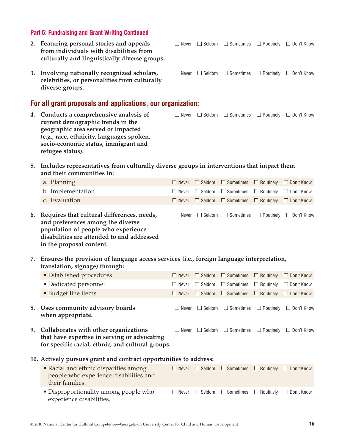#### **Part 5: Fundraising and Grant Writing Continued**

- **2. Featuring personal stories and appeals**  $\square$  Never  $\square$  Seldom  $\square$  Sometimes  $\square$  Routinely  $\square$  Don't Know **from individuals with disabilities from culturally and linguistically diverse groups.**
- **3. Involving nationally recognized scholars,**  $\square$  Never  $\square$  Seldom  $\square$  Sometimes  $\square$  Routinely  $\square$  Don't Know **celebrities, or personalities from culturally diverse groups.**

## **For all grant proposals and applications, our organization:**

- **4. Conducts a comprehensive analysis of**  $\square$  **Never**  $\square$  **Seldom**  $\square$  **Sometimes**  $\square$  **Routinely**  $\square$  **Don't Know current demographic trends in the geographic area served or impacted (e.g., race, ethnicity, languages spoken, socio-economic status, immigrant and refugee status).**
- **5. Includes representatives from culturally diverse groups in interventions that impact them and their communities in:**

| 6. Requires that cultural differences, needs,<br>and preferences among the diverse |  | $\Box$ Never $\Box$ Seldom $\Box$ Sometimes $\Box$ Routinely $\Box$ Don't Know |  |
|------------------------------------------------------------------------------------|--|--------------------------------------------------------------------------------|--|
| c. Evaluation                                                                      |  | $\Box$ Never $\Box$ Seldom $\Box$ Sometimes $\Box$ Routinely $\Box$ Don't Know |  |
| b. Implementation                                                                  |  | $\Box$ Never $\Box$ Seldom $\Box$ Sometimes $\Box$ Routinely $\Box$ Don't Know |  |
| a. Planning                                                                        |  | $\Box$ Never $\Box$ Seldom $\Box$ Sometimes $\Box$ Routinely $\Box$ Don't Know |  |

- **and preferences among the diverse population of people who experience disabilities are attended to and addressed in the proposal content.**
- **7. Ensures the provision of language access services (i.e., foreign language interpretation, translation, signage) through:**

| • Established procedures                                                                                                                      | $\Box$ Never     |               | □ Seldom □ Sometimes □ Routinely □ Don't Know       |                  |                   |
|-----------------------------------------------------------------------------------------------------------------------------------------------|------------------|---------------|-----------------------------------------------------|------------------|-------------------|
| • Dedicated personnel                                                                                                                         | $\Box$ Never     | $\Box$ Seldom | $\Box$ Sometimes $\Box$ Routinely $\Box$ Don't Know |                  |                   |
| • Budget line items                                                                                                                           | $\Box$ Never     | $\Box$ Seldom | $\Box$ Sometimes $\Box$ Routinely $\Box$ Don't Know |                  |                   |
| 8. Uses community advisory boards<br>when appropriate.                                                                                        | Never<br>$\perp$ |               | $\Box$ Seldom $\Box$ Sometimes $\Box$ Routinely     |                  | $\Box$ Don't Know |
| 9. Collaborates with other organizations<br>that have expertise in serving or advocating<br>for specific racial, ethnic, and cultural groups. | Never<br>$\perp$ | $\Box$ Seldom | $\Box$ Sometimes                                    | $\Box$ Routinely | $\Box$ Don't Know |

**10. Actively pursues grant and contract opportunities to address:**

| • Racial and ethnic disparities among<br>people who experience disabilities and<br>their families. |  | $\Box$ Never $\Box$ Seldom $\Box$ Sometimes $\Box$ Routinely $\Box$ Don't Know |  |
|----------------------------------------------------------------------------------------------------|--|--------------------------------------------------------------------------------|--|
| • Disproportionality among people who<br>experience disabilities.                                  |  | $\Box$ Never $\Box$ Seldom $\Box$ Sometimes $\Box$ Routinely $\Box$ Don't Know |  |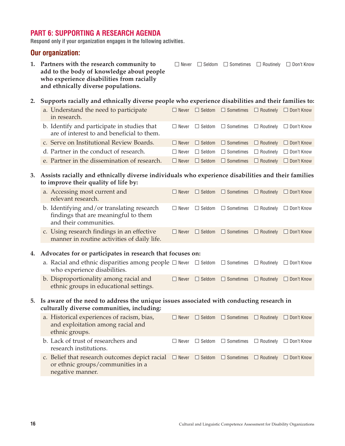## **PART 6: SUPPORTING A RESEARCH AGENDA**

**Respond only if your organization engages in the following activities.**

### **Our organization:**

- **1. Partners with the research community to**  $\square$  Never  $\square$  Seldom  $\square$  Sometimes  $\square$  Routinely  $\square$  Don't Know **add to the body of knowledge about people who experience disabilities from racially and ethnically diverse populations.**
- **2. Supports racially and ethnically diverse people who experience disabilities and their families to:**

| a. Understand the need to participate<br>in research.                                     |         | $\Box$ Never $\Box$ Seldom $\Box$ Sometimes $\Box$ Routinely $\Box$ Don't Know |  |
|-------------------------------------------------------------------------------------------|---------|--------------------------------------------------------------------------------|--|
| b. Identify and participate in studies that<br>are of interest to and beneficial to them. |         | $\Box$ Never $\Box$ Seldom $\Box$ Sometimes $\Box$ Routinely $\Box$ Don't Know |  |
| c. Serve on Institutional Review Boards.                                                  |         | $\Box$ Never $\Box$ Seldom $\Box$ Sometimes $\Box$ Routinely $\Box$ Don't Know |  |
| d. Partner in the conduct of research.                                                    | l Never | $\Box$ Seldom $\Box$ Sometimes $\Box$ Routinely $\Box$ Don't Know              |  |
| e. Partner in the dissemination of research.                                              |         | □ Never □ Seldom □ Sometimes □ Routinely □ Don't Know                          |  |

- **3. Assists racially and ethnically diverse individuals who experience disabilities and their families to improve their quality of life by:**
	- a. Accessing most current and  $\square$  Never  $\square$  Seldom  $\square$  Sometimes  $\square$  Routinely  $\square$  Don't Know relevant research. b. Identifying and/or translating research  $\square$  Never  $\square$  Seldom  $\square$  Sometimes  $\square$  Routinely  $\square$  Don't Know findings that are meaningful to them and their communities. c. Using research findings in an effective  $\square$  Never  $\square$  Seldom  $\square$  Sometimes  $\square$  Routinely  $\square$  Don't Know
	- manner in routine activities of daily life.

#### **4. Advocates for or participates in research that focuses on:**

- a. Racial and ethnic disparities among people  $\Box$  Never  $\Box$  Seldom  $\Box$  Sometimes  $\Box$  Routinely  $\Box$  Don't Know who experience disabilities.
- b. Disproportionality among racial and  $\square$  Never  $\square$  Seldom  $\square$  Sometimes  $\square$  Routinely  $\square$  Don't Know ethnic groups in educational settings.
- **5. Is aware of the need to address the unique issues associated with conducting research in culturally diverse communities, including:**

| a. Historical experiences of racism, bias,<br>and exploitation among racial and<br>ethnic groups.                                                                                      |  | $\Box$ Never $\Box$ Seldom $\Box$ Sometimes $\Box$ Routinely $\Box$ Don't Know |  |
|----------------------------------------------------------------------------------------------------------------------------------------------------------------------------------------|--|--------------------------------------------------------------------------------|--|
| b. Lack of trust of researchers and<br>research institutions.                                                                                                                          |  | $\Box$ Never $\Box$ Seldom $\Box$ Sometimes $\Box$ Routinely $\Box$ Don't Know |  |
| c. Belief that research outcomes depict racial $\Box$ Never $\Box$ Seldom $\Box$ Sometimes $\Box$ Routinely $\Box$ Don't Know<br>or ethnic groups/communities in a<br>negative manner. |  |                                                                                |  |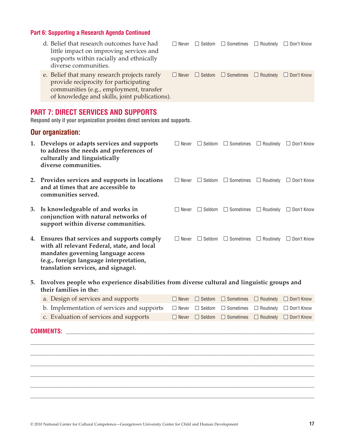## **Part 6: Supporting a Research Agenda Continued**

|  | d. Belief that research outcomes have had<br>little impact on improving services and<br>supports within racially and ethnically<br>diverse communities.                           | $\square$ Never | $\Box$ Seldom $\Box$ Sometimes $\Box$ Routinely $\Box$ Don't Know |  |
|--|-----------------------------------------------------------------------------------------------------------------------------------------------------------------------------------|-----------------|-------------------------------------------------------------------|--|
|  | e. Belief that many research projects rarely<br>provide reciprocity for participating<br>communities (e.g., employment, transfer<br>of knowledge and skills, joint publications). | $\Box$ Never    | $\Box$ Seldom $\Box$ Sometimes $\Box$ Routinely $\Box$ Don't Know |  |
|  | <b>PART 7: DIRECT SERVICES AND SUPPORTS</b><br>Respond only if your organization provides direct services and supports.<br><b>Our organization:</b>                               |                 |                                                                   |  |

|    | 1. Develops or adapts services and supports<br>to address the needs and preferences of<br>culturally and linguistically<br>diverse communities.                                                                  | Never<br>$\mathsf{I}$ |               | $\Box$ Seldom $\Box$ Sometimes | $\Box$ Routinely | $\Box$ Don't Know |
|----|------------------------------------------------------------------------------------------------------------------------------------------------------------------------------------------------------------------|-----------------------|---------------|--------------------------------|------------------|-------------------|
|    | 2. Provides services and supports in locations<br>and at times that are accessible to<br>communities served.                                                                                                     | Never<br>$\perp$      | $\Box$ Seldom | $\Box$ Sometimes               | $\Box$ Routinely | $\Box$ Don't Know |
|    | 3. Is knowledgeable of and works in<br>conjunction with natural networks of<br>support within diverse communities.                                                                                               | Never<br>$\mathsf{I}$ |               | $\Box$ Seldom $\Box$ Sometimes | $\Box$ Routinely | $\Box$ Don't Know |
| 4. | Ensures that services and supports comply<br>with all relevant Federal, state, and local<br>mandates governing language access<br>(e.g., foreign language interpretation,<br>translation services, and signage). | Never<br>$\perp$      | $\Box$ Seldom | $\Box$ Sometimes               | $\Box$ Routinely | $\Box$ Don't Know |

**5. Involves people who experience disabilities from diverse cultural and linguistic groups and their families in the:**

| a. Design of services and supports                                                                                        |  | $\Box$ Never $\Box$ Seldom $\Box$ Sometimes $\Box$ Routinely $\Box$ Don't Know |  |
|---------------------------------------------------------------------------------------------------------------------------|--|--------------------------------------------------------------------------------|--|
| b. Implementation of services and supports $\Box$ Never $\Box$ Seldom $\Box$ Sometimes $\Box$ Routinely $\Box$ Don't Know |  |                                                                                |  |
| c. Evaluation of services and supports                                                                                    |  | $\Box$ Never $\Box$ Seldom $\Box$ Sometimes $\Box$ Routinely $\Box$ Don't Know |  |

 $\Box$  $\Box$  $\Box$  $\Box$ \_\_\_\_\_\_\_\_\_\_\_\_\_\_\_\_\_\_\_\_\_\_\_\_\_\_\_\_\_\_\_\_\_\_\_\_\_\_\_\_\_\_\_\_\_\_\_\_\_\_\_\_\_\_\_\_\_\_\_\_\_\_\_\_\_\_\_\_\_\_\_\_\_\_\_\_\_\_\_\_\_\_\_\_\_\_\_\_\_\_\_\_\_\_\_\_\_\_\_\_\_\_\_\_\_\_\_\_\_\_\_\_  $\Box$ 

## **COMMENTS:** \_\_\_\_\_\_\_\_\_\_\_\_\_\_\_\_\_\_\_\_\_\_\_\_\_\_\_\_\_\_\_\_\_\_\_\_\_\_\_\_\_\_\_\_\_\_\_\_\_\_\_\_\_\_\_\_\_\_\_\_\_\_\_\_\_\_\_\_\_\_\_\_\_\_\_\_\_\_\_\_\_\_\_\_\_\_\_\_\_\_\_\_\_\_\_\_\_\_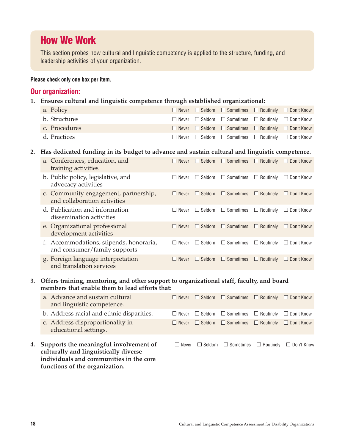## **How We Work**

This section probes how cultural and linguistic competency is applied to the structure, funding, and leadership activities of your organization.

#### **Please check only one box per item.**

### **Our organization:**

**1. Ensures cultural and linguistic competence through established organizational:**

| a. Policy     |  | $\Box$ Never $\Box$ Seldom $\Box$ Sometimes $\Box$ Routinely $\Box$ Don't Know |  |
|---------------|--|--------------------------------------------------------------------------------|--|
| b. Structures |  | $\Box$ Never $\Box$ Seldom $\Box$ Sometimes $\Box$ Routinely $\Box$ Don't Know |  |
| c. Procedures |  | $\Box$ Never $\Box$ Seldom $\Box$ Sometimes $\Box$ Routinely $\Box$ Don't Know |  |
| d. Practices  |  | $\Box$ Never $\Box$ Seldom $\Box$ Sometimes $\Box$ Routinely $\Box$ Don't Know |  |

#### **2. Has dedicated funding in its budget to advance and sustain cultural and linguistic competence.**

| a. Conferences, education, and<br>training activities                   | Never                 | Seldom                 | $\Box$ Sometimes          | $\Box$ Routinely | $\Box$ Don't Know   |
|-------------------------------------------------------------------------|-----------------------|------------------------|---------------------------|------------------|---------------------|
| b. Public policy, legislative, and<br>advocacy activities               | Never<br>$\mathsf{L}$ | Seldom<br>$\mathbf{I}$ | $\Box$ Sometimes          | $\Box$ Routinely | $\Box$ Don't Know   |
| c. Community engagement, partnership,<br>and collaboration activities   | $\Box$ Never          | Seldom                 | $\Box$ Sometimes          | $\Box$ Routinely | $\Box$ Don't Know   |
| d. Publication and information<br>dissemination activities              | Never<br>$\Box$       | Seldom<br>$\mathsf{L}$ | Sometimes<br>$\Box$       | $\Box$ Routinely | $\Box$ Don't Know   |
| e. Organizational professional<br>development activities                | Never<br>I I          | Seldom                 | Sometimes<br>$\mathbf{L}$ | $\Box$ Routinely | $\Box$ Don't Know   |
| f. Accommodations, stipends, honoraria,<br>and consumer/family supports | $\Box$ Never          | Seldom<br>$\perp$      | $\Box$ Sometimes          | $\Box$ Routinely | $\Box$ Don't Know   |
| g. Foreign language interpretation<br>and translation services          | I Never               | Seldom                 | $\Box$ Sometimes          | $\Box$ Routinely | <b>I</b> Don't Know |

#### **3. Offers training, mentoring, and other support to organizational staff, faculty, and board members that enable them to lead efforts that:**

| a. Advance and sustain cultural<br>and linguistic competence.                      | $\Box$ Never | $\Box$ Seldom $\Box$ Sometimes $\Box$ Routinely $\Box$ Don't Know |  |
|------------------------------------------------------------------------------------|--------------|-------------------------------------------------------------------|--|
| b. Address racial and ethnic disparities.                                          | Never        | $\Box$ Seldom $\Box$ Sometimes $\Box$ Routinely $\Box$ Don't Know |  |
| c. Address disproportionality in<br>educational settings.                          | $\Box$ Never | $\Box$ Seldom $\Box$ Sometimes $\Box$ Routinely $\Box$ Don't Know |  |
| 4. Supports the meaningful involvement of<br>oulturally and linguistically divorce | $\Box$ Never | $\Box$ Seldom $\Box$ Sometimes $\Box$ Routinely $\Box$ Don't Know |  |

**culturally and linguistically diverse individuals and communities in the core functions of the organization.**